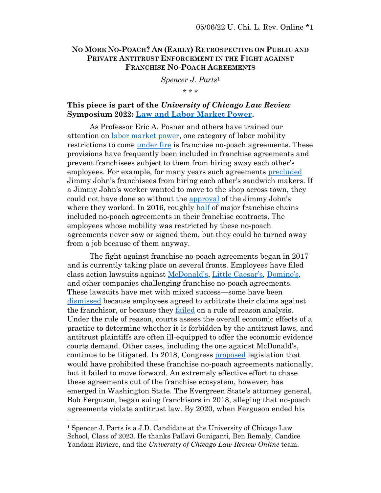## **NO MORE NO-POACH? AN (EARLY) RETROSPECTIVE ON PUBLIC AND PRIVATE ANTITRUST ENFORCEMENT IN THE FIGHT AGAINST FRANCHISE NO-POACH AGREEMENTS**

*Spencer J. Parts*<sup>1</sup> \* \* \*

# **This piece is part of the** *University of Chicago Law Review* **Symposium 2022: [Law and Labor Market Power.](https://www.law.uchicago.edu/events/law-review-symposium-2022-law-and-labor-market-power)**

As Professor Eric A. Posner and others have trained our attention on [labor market power,](https://chicagounbound.uchicago.edu/cgi/viewcontent.cgi?article=13776&context=journal_articles) one category of labor mobility restrictions to come [under fire](https://www.hamiltonproject.org/assets/files/protecting_low_income_workers_from_monopsony_collusion_krueger_posner_pp.pdf) is franchise no-poach agreements. These provisions have frequently been included in franchise agreements and prevent franchisees subject to them from hiring away each other's employees. For example, for many years such agreements [precluded](https://casetext.com/case/butler-v-jimmy-johns-franchise-llc) Jimmy John's franchisees from hiring each other's sandwich makers. If a Jimmy John's worker wanted to move to the shop across town, they could not have done so without the [approval](https://www.nytimes.com/2017/09/27/business/pay-growth-fast-food-hiring.html) of the Jimmy John's where they worked. In 2016, roughly [half](https://www.hamiltonproject.org/assets/files/protecting_low_income_workers_from_monopsony_collusion_krueger_posner_pp.pdf) of major franchise chains included no-poach agreements in their franchise contracts. The employees whose mobility was restricted by these no-poach agreements never saw or signed them, but they could be turned away from a job because of them anyway.

The fight against franchise no-poach agreements began in 2017 and is currently taking place on several fronts. Employees have filed class action lawsuits against [McDonald's](https://casetext.com/case/deslandes-v-mcdonalds-usa-llc), [Little Caesar's](https://casetext.com/case/ogden-v-little-caesar-enters), [Domino's](https://casetext.com/case/blanton-v-dominos-pizza-franchising-llc-2), and other companies challenging franchise no-poach agreements. These lawsuits have met with mixed success—some have been [dismissed](https://casetext.com/case/blanton-v-dominos-pizza-franchising-llc-2) because employees agreed to arbitrate their claims against the franchisor, or because they [failed](https://casetext.com/case/ogden-v-little-caesar-enters) on a rule of reason analysis. Under the rule of reason, courts assess the overall economic effects of a practice to determine whether it is forbidden by the antitrust laws, and antitrust plaintiffs are often ill-equipped to offer the economic evidence courts demand. Other cases, including the one against McDonald's, continue to be litigated. In 2018, Congress [proposed](https://www.congress.gov/bill/115th-congress/senate-bill/2480/text) legislation that would have prohibited these franchise no-poach agreements nationally, but it failed to move forward. An extremely effective effort to chase these agreements out of the franchise ecosystem, however, has emerged in Washington State. The Evergreen State's attorney general, Bob Ferguson, began suing franchisors in 2018, alleging that no-poach agreements violate antitrust law. By 2020, when Ferguson ended his

<sup>&</sup>lt;sup>1</sup> Spencer J. Parts is a J.D. Candidate at the University of Chicago Law School, Class of 2023. He thanks Pallavi Guniganti, Ben Remaly, Candice Yandam Riviere, and the *University of Chicago Law Review Online* team.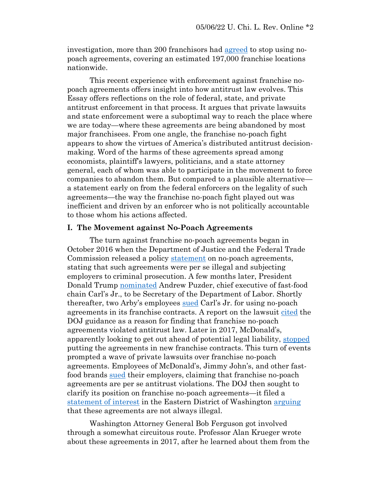investigation, more than 200 franchisors had [agreed](https://agportal-s3bucket.s3.amazonaws.com/uploadedfiles/Another/News/Press_Releases/NoPoachReport_June2020.pdf) to stop using nopoach agreements, covering an estimated 197,000 franchise locations nationwide.

This recent experience with enforcement against franchise nopoach agreements offers insight into how antitrust law evolves. This Essay offers reflections on the role of federal, state, and private antitrust enforcement in that process. It argues that private lawsuits and state enforcement were a suboptimal way to reach the place where we are today—where these agreements are being abandoned by most major franchisees. From one angle, the franchise no-poach fight appears to show the virtues of America's distributed antitrust decisionmaking. Word of the harms of these agreements spread among economists, plaintiff's lawyers, politicians, and a state attorney general, each of whom was able to participate in the movement to force companies to abandon them. But compared to a plausible alternative a statement early on from the federal enforcers on the legality of such agreements—the way the franchise no-poach fight played out was inefficient and driven by an enforcer who is not politically accountable to those whom his actions affected.

#### **I. The Movement against No-Poach Agreements**

The turn against franchise no-poach agreements began in October 2016 when the Department of Justice and the Federal Trade Commission released a policy [statement](https://www.justice.gov/atr/file/903511/download) on no-poach agreements, stating that such agreements were per se illegal and subjecting employers to criminal prosecution. A few months later, President Donald Trump [nominated](https://www.nytimes.com/2016/12/08/us/politics/andrew-puzder-labor-secretary-trump.html) Andrew Puzder, chief executive of fast-food chain Carl's Jr., to be Secretary of the Department of Labor. Shortly thereafter, two Arby's employees [sued](https://www.scribd.com/document/338799473/CKE-Complaint) Carl's Jr. for using no-poach agreements in its franchise contracts. A report on the lawsuit [cited](https://theintercept.com/2017/02/15/labor-pick-andy-puzder-is-already-in-jeopardy-now-hes-being-sued-for-wage-fixing/) the DOJ guidance as a reason for finding that franchise no-poach agreements violated antitrust law. Later in 2017, McDonald's, apparently looking to get out ahead of potential legal liability, [stopped](https://casetext.com/case/deslandes-v-mcdonalds-usa-llc) putting the agreements in new franchise contracts. This turn of events prompted a wave of private lawsuits over franchise no-poach agreements. Employees of McDonald's, Jimmy John's, and other fastfood brands [sued](https://repository.uchastings.edu/cgi/viewcontent.cgi?article=3944&context=hastings_law_journal) their employers, claiming that franchise no-poach agreements are per se antitrust violations. The DOJ then sought to clarify its position on franchise no-poach agreements—it filed a [statement of interest](https://www.justice.gov/atr/case-document/file/1141731/download) in the Eastern District of Washington [arguing](https://repository.uchastings.edu/cgi/viewcontent.cgi?article=3944&context=hastings_law_journal) that these agreements are not always illegal.

Washington Attorney General Bob Ferguson got involved through a somewhat circuitous route. Professor Alan Krueger wrote about these agreements in 2017, after he learned about them from the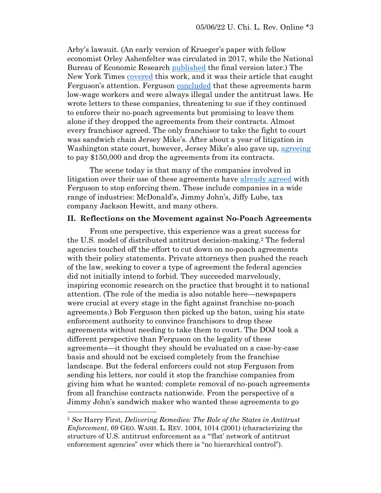Arby's lawsuit. (An early version of Krueger's paper with fellow economist Orley Ashenfelter was circulated in 2017, while the National Bureau of Economic Research [published](https://www.nber.org/papers/w24831) the final version later.) The New York Times [covered](https://www.nytimes.com/2017/09/27/business/pay-growth-fast-food-hiring.html) this work, and it was their article that caught Ferguson's attention. Ferguson [concluded](https://www.skadden.com/insights/publications/2019/03/doj-wades-deeper) that these agreements harm low-wage workers and were always illegal under the antitrust laws. He wrote letters to these companies, threatening to sue if they continued to enforce their no-poach agreements but promising to leave them alone if they dropped the agreements from their contracts. Almost every franchisor agreed. The only franchisor to take the fight to court was sandwich chain Jersey Mike's. After about a year of litigation in Washington state court, however, Jersey Mike's also gave up, [agreeing](https://www.atg.wa.gov/news/news-releases/jersey-mike-s-will-pay-150k-resolve-ag-ferguson-s-first-no-poach-lawsuit) to pay \$150,000 and drop the agreements from its contracts.

The scene today is that many of the companies involved in litigation over their use of these agreements have [already agreed](https://agportal-s3bucket.s3.amazonaws.com/uploadedfiles/Another/News/Press_Releases/NoPoachReport_June2020.pdf) with Ferguson to stop enforcing them. These include companies in a wide range of industries: McDonald's, Jimmy John's, Jiffy Lube, tax company Jackson Hewitt, and many others.

#### **II. Reflections on the Movement against No-Poach Agreements**

From one perspective, this experience was a great success for the U.S. model of distributed antitrust decision-making.<sup>2</sup> The federal agencies touched off the effort to cut down on no-poach agreements with their policy statements. Private attorneys then pushed the reach of the law, seeking to cover a type of agreement the federal agencies did not initially intend to forbid. They succeeded marvelously, inspiring economic research on the practice that brought it to national attention. (The role of the media is also notable here—newspapers were crucial at every stage in the fight against franchise no-poach agreements.) Bob Ferguson then picked up the baton, using his state enforcement authority to convince franchisors to drop these agreements without needing to take them to court. The DOJ took a different perspective than Ferguson on the legality of these agreements—it thought they should be evaluated on a case-by-case basis and should not be excised completely from the franchise landscape. But the federal enforcers could not stop Ferguson from sending his letters, nor could it stop the franchise companies from giving him what he wanted: complete removal of no-poach agreements from all franchise contracts nationwide. From the perspective of a Jimmy John's sandwich maker who wanted these agreements to go

<sup>2</sup> *See* Harry First, *Delivering Remedies: The Role of the States in Antitrust Enforcement*, 69 GEO. WASH. L. REV. 1004, 1014 (2001) (characterizing the structure of U.S. antitrust enforcement as a "'flat' network of antitrust enforcement agencies" over which there is "no hierarchical control").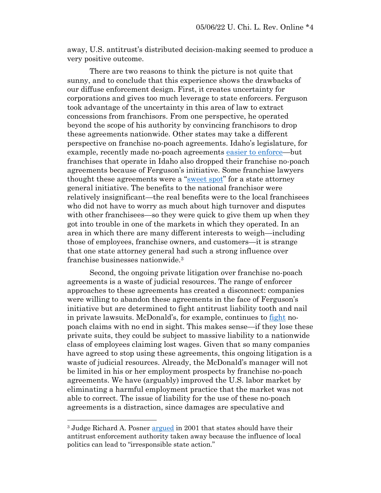away, U.S. antitrust's distributed decision-making seemed to produce a very positive outcome.

There are two reasons to think the picture is not quite that sunny, and to conclude that this experience shows the drawbacks of our diffuse enforcement design. First, it creates uncertainty for corporations and gives too much leverage to state enforcers. Ferguson took advantage of the uncertainty in this area of law to extract concessions from franchisors. From one perspective, he operated beyond the scope of his authority by convincing franchisors to drop these agreements nationwide. Other states may take a different perspective on franchise no-poach agreements. Idaho's legislature, for example, recently made no-poach agreements [easier to enforce](https://www.nytimes.com/2017/07/14/business/economy/boise-idaho-noncompete-law.html)—but franchises that operate in Idaho also dropped their franchise no-poach agreements because of Ferguson's initiative. Some franchise lawyers thought these agreements were a "[sweet spot](https://perma.cc/9X27-3SNY)" for a state attorney general initiative. The benefits to the national franchisor were relatively insignificant—the real benefits were to the local franchisees who did not have to worry as much about high turnover and disputes with other franchisees—so they were quick to give them up when they got into trouble in one of the markets in which they operated. In an area in which there are many different interests to weigh—including those of employees, franchise owners, and customers—it is strange that one state attorney general had such a strong influence over franchise businesses nationwide.<sup>3</sup>

Second, the ongoing private litigation over franchise no-poach agreements is a waste of judicial resources. The range of enforcer approaches to these agreements has created a disconnect: companies were willing to abandon these agreements in the face of Ferguson's initiative but are determined to fight antitrust liability tooth and nail in private lawsuits. McDonald's, for example, continues to [fight](https://casetext.com/case/deslandes-v-mcdonalds-usa-llc) nopoach claims with no end in sight. This makes sense—if they lose these private suits, they could be subject to massive liability to a nationwide class of employees claiming lost wages. Given that so many companies have agreed to stop using these agreements, this ongoing litigation is a waste of judicial resources. Already, the McDonald's manager will not be limited in his or her employment prospects by franchise no-poach agreements. We have (arguably) improved the U.S. labor market by eliminating a harmful employment practice that the market was not able to correct. The issue of liability for the use of these no-poach agreements is a distraction, since damages are speculative and

<sup>&</sup>lt;sup>3</sup> Judge Richard A. Posner [argued](https://chicagounbound.uchicago.edu/cgi/viewcontent.cgi?article=1057&context=law_and_economics) in 2001 that states should have their antitrust enforcement authority taken away because the influence of local politics can lead to "irresponsible state action."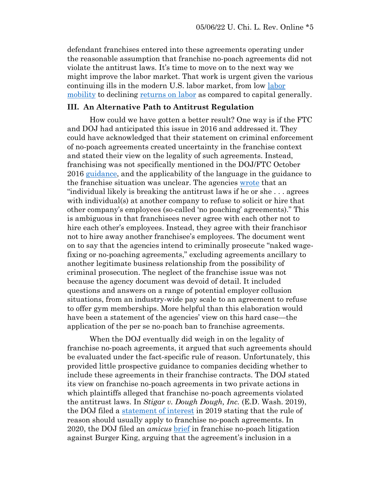defendant franchises entered into these agreements operating under the reasonable assumption that franchise no-poach agreements did not violate the antitrust laws. It's time to move on to the next way we might improve the labor market. That work is urgent given the various continuing ills in the modern U.S. labor market, from low [labor](https://www.ftc.gov/system/files/documents/public_statements/1552269/phillips_testimony_re_house_judiciary_antitrust_subcommittee_10-29-19.pdf)  [mobility](https://www.ftc.gov/system/files/documents/public_statements/1552269/phillips_testimony_re_house_judiciary_antitrust_subcommittee_10-29-19.pdf) to declining [returns on labor](https://chicagounbound.uchicago.edu/cgi/viewcontent.cgi?article=11824&context=journal_articles) as compared to capital generally.

## **III. An Alternative Path to Antitrust Regulation**

How could we have gotten a better result? One way is if the FTC and DOJ had anticipated this issue in 2016 and addressed it. They could have acknowledged that their statement on criminal enforcement of no-poach agreements created uncertainty in the franchise context and stated their view on the legality of such agreements. Instead, franchising was not specifically mentioned in the DOJ/FTC October 2016 [guidance,](https://www.law360.com/articles/1123203/doj-gives-fast-food-chains-ammo-against-no-poach-suits) and the applicability of the language in the guidance to the franchise situation was unclear. The agencies [wrote](https://www.ftc.gov/system/files/documents/public_statements/992623/ftc-doj_hr_guidance_final_10-20-16.pdf) that an "individual likely is breaking the antitrust laws if he or she . . . agrees with individual(s) at another company to refuse to solicit or hire that other company's employees (so-called 'no poaching' agreements)." This is ambiguous in that franchisees never agree with each other not to hire each other's employees. Instead, they agree with their franchisor not to hire away another franchisee's employees. The document went on to say that the agencies intend to criminally prosecute "naked wagefixing or no-poaching agreements," excluding agreements ancillary to another legitimate business relationship from the possibility of criminal prosecution. The neglect of the franchise issue was not because the agency document was devoid of detail. It included questions and answers on a range of potential employer collusion situations, from an industry-wide pay scale to an agreement to refuse to offer gym memberships. More helpful than this elaboration would have been a statement of the agencies' view on this hard case—the application of the per se no-poach ban to franchise agreements.

When the DOJ eventually did weigh in on the legality of franchise no-poach agreements, it argued that such agreements should be evaluated under the fact-specific rule of reason. Unfortunately, this provided little prospective guidance to companies deciding whether to include these agreements in their franchise contracts. The DOJ stated its view on franchise no-poach agreements in two private actions in which plaintiffs alleged that franchise no-poach agreements violated the antitrust laws. In *Stigar v. Dough Dough, Inc.* (E.D. Wash. 2019), the DOJ filed a [statement of interest](https://www.justice.gov/atr/case-document/file/1141731/download) in 2019 stating that the rule of reason should usually apply to franchise no-poach agreements. In 2020, the DOJ filed an *amicus* [brief](https://www.justice.gov/atr/case-document/file/1343466/download) in franchise no-poach litigation against Burger King, arguing that the agreement's inclusion in a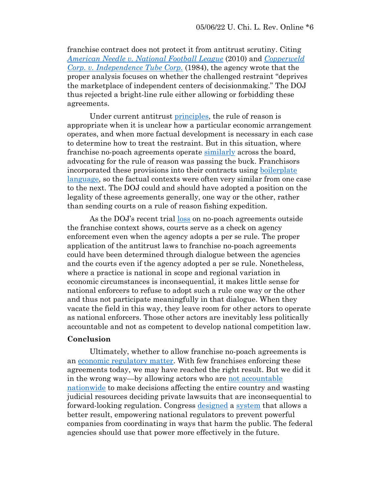franchise contract does not protect it from antitrust scrutiny. Citing *American Needle [v. National Football League](https://casetext.com/case/american-needle-inc-v-national-football-league-no-08-661-us-5242010)* (2010) and *[Copperweld](https://casetext.com/case/copperweld-corporation-v-independence-tube-corporation) Corp. [v. Independence Tube Corp.](https://casetext.com/case/copperweld-corporation-v-independence-tube-corporation)* (1984), the agency wrote that the proper analysis focuses on whether the challenged restraint "deprives the marketplace of independent centers of decisionmaking." The DOJ thus rejected a bright-line rule either allowing or forbidding these agreements.

Under current antitrust [principles,](https://scholarship.law.ufl.edu/cgi/viewcontent.cgi?article=1302&context=facultypub) the rule of reason is appropriate when it is unclear how a particular economic arrangement operates, and when more factual development is necessary in each case to determine how to treat the restraint. But in this situation, where franchise no-poach agreements operate [similarly](https://ir.lawnet.fordham.edu/cgi/viewcontent.cgi?article=5601&context=flr) across the board, advocating for the rule of reason was passing the buck. Franchisors incorporated these provisions into their contracts using [boilerplate](https://globalcompetitionreview.com/all-in-the-franchise-family)  [language,](https://globalcompetitionreview.com/all-in-the-franchise-family) so the factual contexts were often very similar from one case to the next. The DOJ could and should have adopted a position on the legality of these agreements generally, one way or the other, rather than sending courts on a rule of reason fishing expedition.

As the DOJ's recent trial [loss](https://news.bloomberglaw.com/antitrust/davita-ex-ceo-found-not-guilty-in-dojs-no-poaching-casehttps:/news.bloomberglaw.com/antitrust/davita-ex-ceo-found-not-guilty-in-dojs-no-poaching-case) on no-poach agreements outside the franchise context shows, courts serve as a check on agency enforcement even when the agency adopts a per se rule. The proper application of the antitrust laws to franchise no-poach agreements could have been determined through dialogue between the agencies and the courts even if the agency adopted a per se rule. Nonetheless, where a practice is national in scope and regional variation in economic circumstances is inconsequential, it makes little sense for national enforcers to refuse to adopt such a rule one way or the other and thus not participate meaningfully in that dialogue. When they vacate the field in this way, they leave room for other actors to operate as national enforcers. Those other actors are inevitably less politically accountable and not as competent to develop national competition law.

## **Conclusion**

Ultimately, whether to allow franchise no-poach agreements is an [economic regulatory matter.](https://deliverypdf.ssrn.com/delivery.php?ID=489024064102116109085070104103100064027075072041043035077073030004119001104121073072123098043034107058119100127076097094087068059012026078015005095114069118097086032085044067090076118085071120118125005083091019102022107090109006028091104069094003118&EXT=pdf&INDEX=TRUE) With few franchises enforcing these agreements today, we may have reached the right result. But we did it in the wrong way—by allowing actors who are [not accountable](https://ir.lawnet.fordham.edu/cgi/viewcontent.cgi?article=4890&context=flr)  [nationwide](https://ir.lawnet.fordham.edu/cgi/viewcontent.cgi?article=4890&context=flr) to make decisions affecting the entire country and wasting judicial resources deciding private lawsuits that are inconsequential to forward-looking regulation. Congress [designed](https://deliverypdf.ssrn.com/delivery.php?ID=489024064102116109085070104103100064027075072041043035077073030004119001104121073072123098043034107058119100127076097094087068059012026078015005095114069118097086032085044067090076118085071120118125005083091019102022107090109006028091104069094003118&EXT=pdf&INDEX=TRUE) a [system](https://www.yalelawjournal.org/feature/recovering-the-moral-economy-foundations-of-the-sherman-act) that allows a better result, empowering national regulators to prevent powerful companies from coordinating in ways that harm the public. The federal agencies should use that power more effectively in the future.